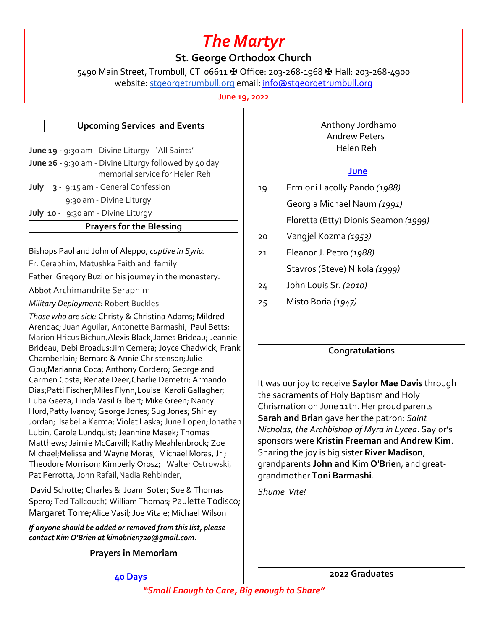# *The Martyr*

## **St. George Orthodox Church**

5490 Main Street, Trumbull, CT 06611 ✠ Office: 203-268-1968 ✠ Hall: 203-268-4900 website: stgeorgetrumbull.org email: info@stgeorgetrumbull.org

**June 19, 2022**

### **Upcoming Services and Events**

**June 19 -** 9:30 am - Divine Liturgy - 'All Saints' **June 26 -** 9:30 am - Divine Liturgy followed by 40 day memorial service for Helen Reh

**July 3 -** 9:15 am - General Confession 9:30 am - Divine Liturgy

**July 10 -** 9:30 am - Divine Liturgy

#### **Prayers for the Blessing**

Bishops Paul and John of Aleppo, *captive in Syria.*

Fr. Ceraphim, Matushka Faith and family

Father Gregory Buzi on his journey in the monastery.

Abbot Archimandrite Seraphim

*Military Deployment:* Robert Buckles

*Those who are sick:* Christy & Christina Adams; Mildred Arendac; Juan Aguilar, Antonette Barmashi, Paul Betts; Marion Hricus Bichun,Alexis Black;James Brideau; Jeannie Brideau; Debi Broadus;Jim Cernera; Joyce Chadwick; Frank Chamberlain; Bernard & Annie Christenson;Julie Cipu;Marianna Coca; Anthony Cordero; George and Carmen Costa; Renate Deer,Charlie Demetri; Armando Dias;Patti Fischer;Miles Flynn,Louise Karoli Gallagher; Luba Geeza, Linda Vasil Gilbert; Mike Green; Nancy Hurd,Patty Ivanov; George Jones; Sug Jones; Shirley Jordan; Isabella Kerma; Violet Laska; June Lopen;Jonathan Lubin, Carole Lundquist; Jeannine Masek; Thomas Matthews; Jaimie McCarvill; Kathy Meahlenbrock; Zoe Michael;Melissa and Wayne Moras, Michael Moras, Jr.; Theodore Morrison; Kimberly Orosz; Walter Ostrowski, Pat Perrotta, John Rafail,Nadia Rehbinder,

David Schutte; Charles & Joann Soter; Sue & Thomas Spero; Ted Tallcouch; William Thomas; Paulette Todisco; Margaret Torre;Alice Vasil; Joe Vitale; Michael Wilson

*If anyone should be added or removed from this list, please contact Kim O'Brien at kimobrien720@gmail.com.*

**Prayers in Memoriam**

 Anthony Jordhamo Andrew Peters Helen Reh

#### **June**

- 19 Ermioni Lacolly Pando *(1988)* Georgia Michael Naum *(1991)* Floretta (Etty) Dionis Seamon *(1999)*
- 20 Vangjel Kozma *(1953)*
- 21 Eleanor J. Petro *(1988)*
	- Stavros (Steve) Nikola *(1999)*
- 24 John Louis Sr. *(2010)*
- 25 Misto Boria *(1947)*

## **Congratulations**

It was our joy to receive **Saylor Mae Davis** through the sacraments of Holy Baptism and Holy Chrismation on June 11th. Her proud parents **Sarah and Brian** gave her the patron: *Saint Nicholas, the Archbishop of Myra in Lycea*. Saylor's sponsors were **Kristin Freeman** and **Andrew Kim**. Sharing the joy is big sister **River Madison**, grandparents **John and Kim O'Brie**n, and greatgrandmother **Toni Barmashi**.

*Shume Vite!*

**40 Days**

**2022 Graduates**

*"Small Enough to Care, Big enough to Share"*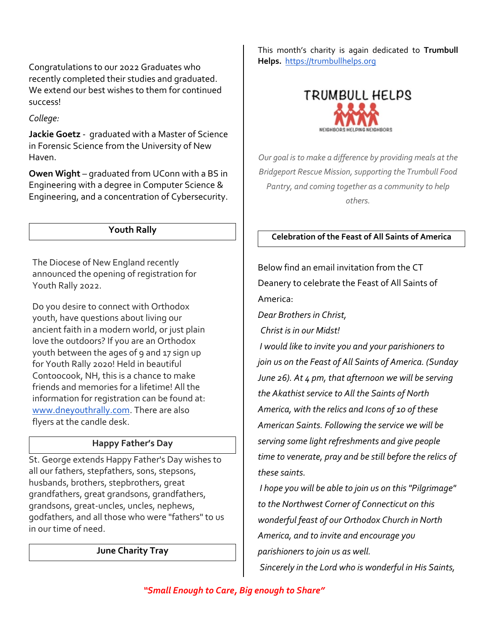Congratulations to our 2022 Graduates who recently completed their studies and graduated. We extend our best wishes to them for continued success!

*College:* 

**Jackie Goetz** - graduated with a Master of Science in Forensic Science from the University of New Haven.

**Owen Wight** – graduated from UConn with a BS in Engineering with a degree in Computer Science & Engineering, and a concentration of Cybersecurity.

## **Youth Rally**

The Diocese of New England recently announced the opening of registration for Youth Rally 2022.

Do you desire to connect with Orthodox youth, have questions about living our ancient faith in a modern world, or just plain love the outdoors? If you are an Orthodox youth between the ages of 9 and 17 sign up for Youth Rally 2020! Held in beautiful Contoocook, NH, this is a chance to make friends and memories for a lifetime! All the information for registration can be found at: www.dneyouthrally.com. There are also flyers at the candle desk.

## **Happy Father's Day**

St. George extends Happy Father's Day wishes to all our fathers, stepfathers, sons, stepsons, husbands, brothers, stepbrothers, great grandfathers, great grandsons, grandfathers, grandsons, great-uncles, uncles, nephews, godfathers, and all those who were "fathers" to us in our time of need.

**June Charity Tray**

This month's charity is again dedicated to **Trumbull Helps.** https://trumbullhelps.org



*Our goal is to make a difference by providing meals at the Bridgeport Rescue Mission, supporting the Trumbull Food Pantry, and coming together as a community to help others.*

## **Celebration of the Feast of All Saints of America**

Below find an email invitation from the CT Deanery to celebrate the Feast of All Saints of America:

*Dear Brothers in Christ,*

*Christ is in our Midst!*

*I would like to invite you and your parishioners to join us on the Feast of All Saints of America. (Sunday June 26). At 4 pm, that afternoon we will be serving the Akathist service to All the Saints of North America, with the relics and Icons of 10 of these American Saints. Following the service we will be serving some light refreshments and give people time to venerate, pray and be still before the relics of these saints.* 

*I hope you will be able to join us on this "Pilgrimage" to the Northwest Corner of Connecticut on this wonderful feast of our Orthodox Church in North America, and to invite and encourage you parishioners to join us as well. Sincerely in the Lord who is wonderful in His Saints,*